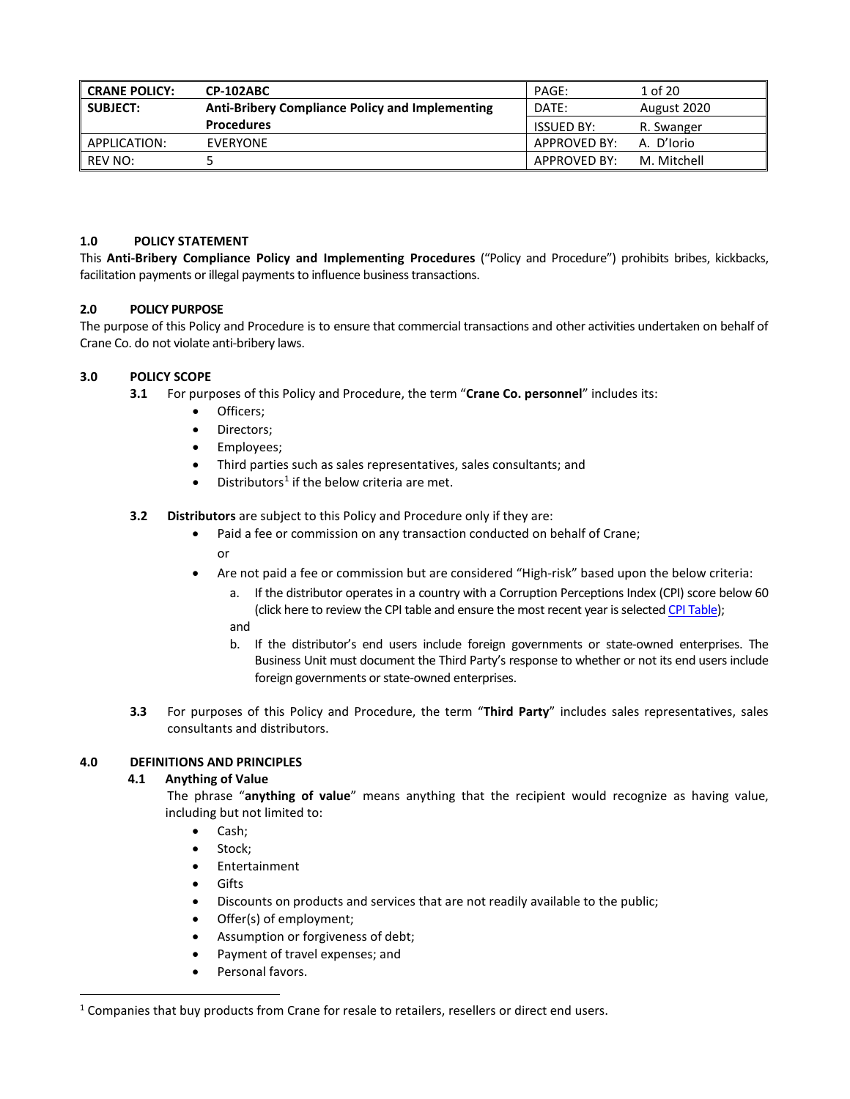| l CRANE POLICY: | CP-102ABC                                                       | PAGE:             | 1 of 20     |
|-----------------|-----------------------------------------------------------------|-------------------|-------------|
| l subject:      | <b>Anti-Bribery Compliance Policy and Implementing</b><br>DATE: |                   | August 2020 |
|                 | <b>Procedures</b>                                               | <b>ISSUED BY:</b> | R. Swanger  |
| APPLICATION:    | EVERYONE                                                        | APPROVED BY:      | A. D'Iorio  |
| REV NO:         |                                                                 | APPROVED BY:      | M. Mitchell |

### **1.0 POLICY STATEMENT**

This **Anti-Bribery Compliance Policy and Implementing Procedures** ("Policy and Procedure") prohibits bribes, kickbacks, facilitation payments or illegal payments to influence business transactions.

### **2.0 POLICY PURPOSE**

The purpose of this Policy and Procedure is to ensure that commercial transactions and other activities undertaken on behalf of Crane Co. do not violate anti-bribery laws.

### **3.0 POLICY SCOPE**

- **3.1** For purposes of this Policy and Procedure, the term "**Crane Co. personnel**" includes its:
	- Officers;
	- Directors;
	- Employees;
	- Third parties such as sales representatives, sales consultants; and
	- $\bullet$  Distributors<sup>[1](#page-0-0)</sup> if the below criteria are met.
- **3.2 Distributors** are subject to this Policy and Procedure only if they are:
	- Paid a fee or commission on any transaction conducted on behalf of Crane; or
	- Are not paid a fee or commission but are considered "High-risk" based upon the below criteria:
		- a. If the distributor operates in a country with a Corruption Perceptions Index (CPI) score below 60 (click here to review the CPI table and ensure the most recent year is selected [CPI Table\)](https://www.transparency.org/en/cpi/2019/results/table); and
		- b. If the distributor's end users include foreign governments or state-owned enterprises. The Business Unit must document the Third Party's response to whether or not its end users include foreign governments or state-owned enterprises.
- **3.3** For purposes of this Policy and Procedure, the term "**Third Party**" includes sales representatives, sales consultants and distributors.

## **4.0 DEFINITIONS AND PRINCIPLES**

## **4.1 Anything of Value**

The phrase "**anything of value**" means anything that the recipient would recognize as having value, including but not limited to:

- Cash;
- Stock;
- Entertainment
- Gifts
- Discounts on products and services that are not readily available to the public;
- Offer(s) of employment;
- Assumption or forgiveness of debt;
- Payment of travel expenses; and
- Personal favors.

<span id="page-0-0"></span><sup>&</sup>lt;sup>1</sup> Companies that buy products from Crane for resale to retailers, resellers or direct end users.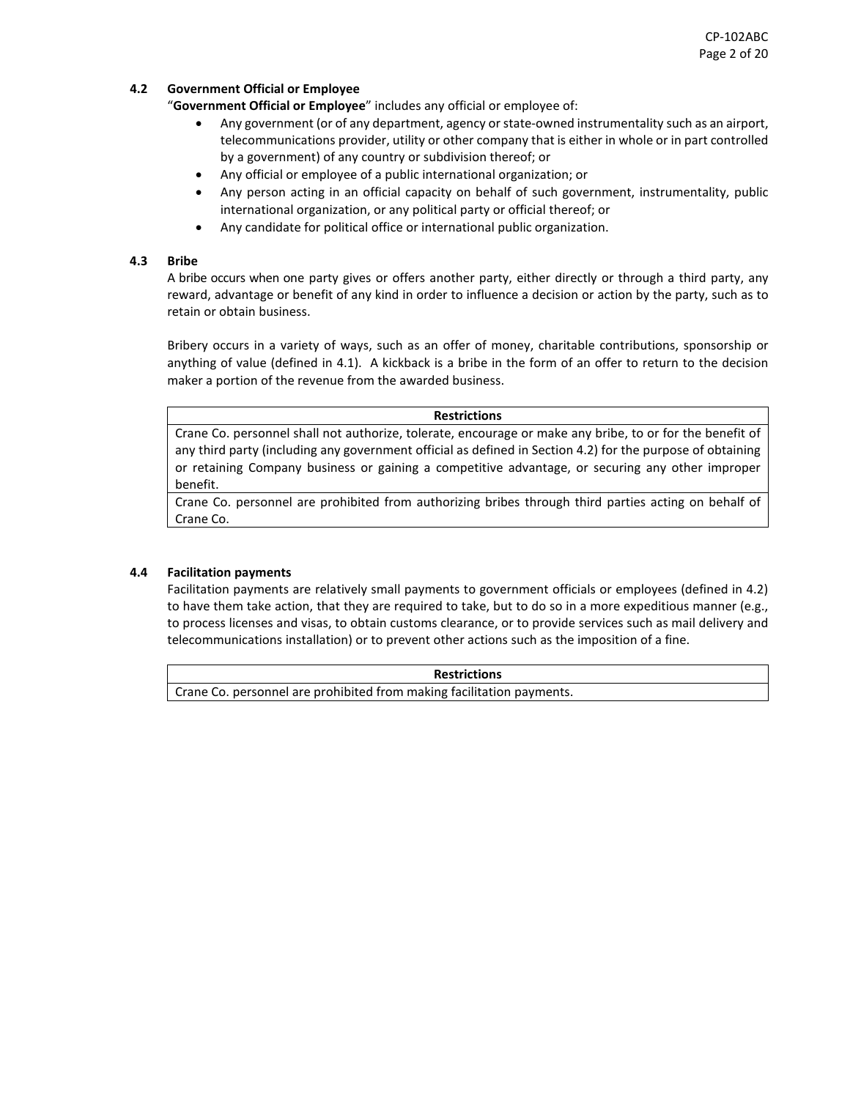## **4.2 Government Official or Employee**

"**Government Official or Employee**" includes any official or employee of:

- Any government (or of any department, agency or state-owned instrumentality such as an airport, telecommunications provider, utility or other company that is either in whole or in part controlled by a government) of any country or subdivision thereof; or
- Any official or employee of a public international organization; or
- Any person acting in an official capacity on behalf of such government, instrumentality, public international organization, or any political party or official thereof; or
- Any candidate for political office or international public organization.

#### **4.3 Bribe**

A bribe occurs when one party gives or offers another party, either directly or through a third party, any reward, advantage or benefit of any kind in order to influence a decision or action by the party, such as to retain or obtain business.

Bribery occurs in a variety of ways, such as an offer of money, charitable contributions, sponsorship or anything of value (defined in 4.1). A kickback is a bribe in the form of an offer to return to the decision maker a portion of the revenue from the awarded business.

#### **Restrictions**

Crane Co. personnel shall not authorize, tolerate, encourage or make any bribe, to or for the benefit of any third party (including any government official as defined in Section 4.2) for the purpose of obtaining or retaining Company business or gaining a competitive advantage, or securing any other improper benefit.

Crane Co. personnel are prohibited from authorizing bribes through third parties acting on behalf of Crane Co.

#### **4.4 Facilitation payments**

Facilitation payments are relatively small payments to government officials or employees (defined in 4.2) to have them take action, that they are required to take, but to do so in a more expeditious manner (e.g., to process licenses and visas, to obtain customs clearance, or to provide services such as mail delivery and telecommunications installation) or to prevent other actions such as the imposition of a fine.

**Restrictions** Crane Co. personnel are prohibited from making facilitation payments.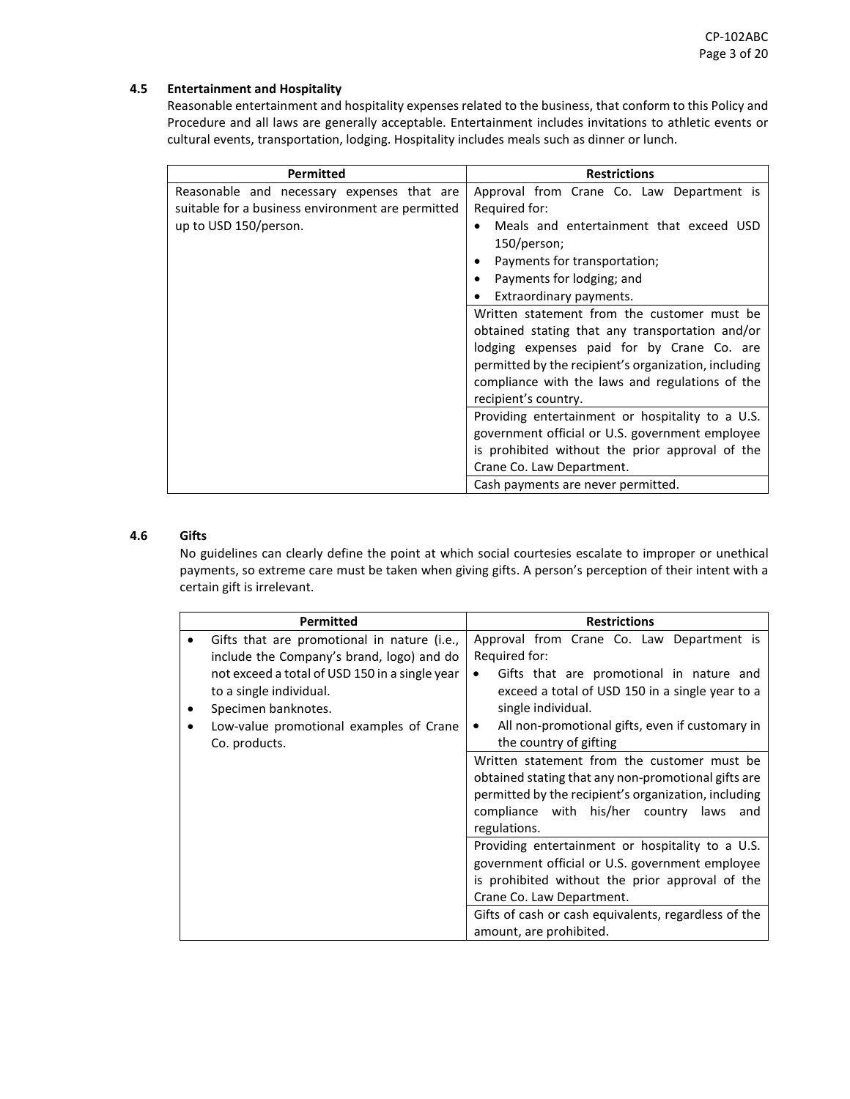## **4.5 Entertainment and Hospitality**

Reasonable entertainment and hospitality expenses related to the business, that conform to this Policy and Procedure and all laws are generally acceptable. Entertainment includes invitations to athletic events or cultural events, transportation, lodging. Hospitality includes meals such as dinner or lunch.

| <b>Permitted</b>                                  | <b>Restrictions</b>                                  |
|---------------------------------------------------|------------------------------------------------------|
| Reasonable and necessary expenses that are        | Approval from Crane Co. Law Department is            |
| suitable for a business environment are permitted | Required for:                                        |
| up to USD 150/person.                             | Meals and entertainment that exceed USD              |
|                                                   | 150/person;                                          |
|                                                   | Payments for transportation;<br>$\bullet$            |
|                                                   | Payments for lodging; and<br>$\bullet$               |
|                                                   | Extraordinary payments.<br>٠                         |
|                                                   | Written statement from the customer must be          |
|                                                   | obtained stating that any transportation and/or      |
|                                                   | lodging expenses paid for by Crane Co. are           |
|                                                   | permitted by the recipient's organization, including |
|                                                   | compliance with the laws and regulations of the      |
|                                                   | recipient's country.                                 |
|                                                   | Providing entertainment or hospitality to a U.S.     |
|                                                   | government official or U.S. government employee      |
|                                                   | is prohibited without the prior approval of the      |
|                                                   | Crane Co. Law Department.                            |
|                                                   | Cash payments are never permitted.                   |

## **4.6 Gifts**

No guidelines can clearly define the point at which social courtesies escalate to improper or unethical payments, so extreme care must be taken when giving gifts. A person's perception of their intent with a certain gift is irrelevant.

| <b>Permitted</b>                                                                                 | <b>Restrictions</b>                                                                                                                                                                                                    |
|--------------------------------------------------------------------------------------------------|------------------------------------------------------------------------------------------------------------------------------------------------------------------------------------------------------------------------|
| Gifts that are promotional in nature (i.e.,<br>include the Company's brand, logo) and do         | Approval from Crane Co. Law Department is<br>Required for:                                                                                                                                                             |
| not exceed a total of USD 150 in a single year<br>to a single individual.<br>Specimen banknotes. | Gifts that are promotional in nature and<br>$\bullet$<br>exceed a total of USD 150 in a single year to a<br>single individual.                                                                                         |
| Low-value promotional examples of Crane<br>Co. products.                                         | All non-promotional gifts, even if customary in<br>$\bullet$<br>the country of gifting                                                                                                                                 |
|                                                                                                  | Written statement from the customer must be<br>obtained stating that any non-promotional gifts are<br>permitted by the recipient's organization, including<br>compliance with his/her country laws and<br>regulations. |
|                                                                                                  | Providing entertainment or hospitality to a U.S.<br>government official or U.S. government employee<br>is prohibited without the prior approval of the<br>Crane Co. Law Department.                                    |
|                                                                                                  | Gifts of cash or cash equivalents, regardless of the<br>amount, are prohibited.                                                                                                                                        |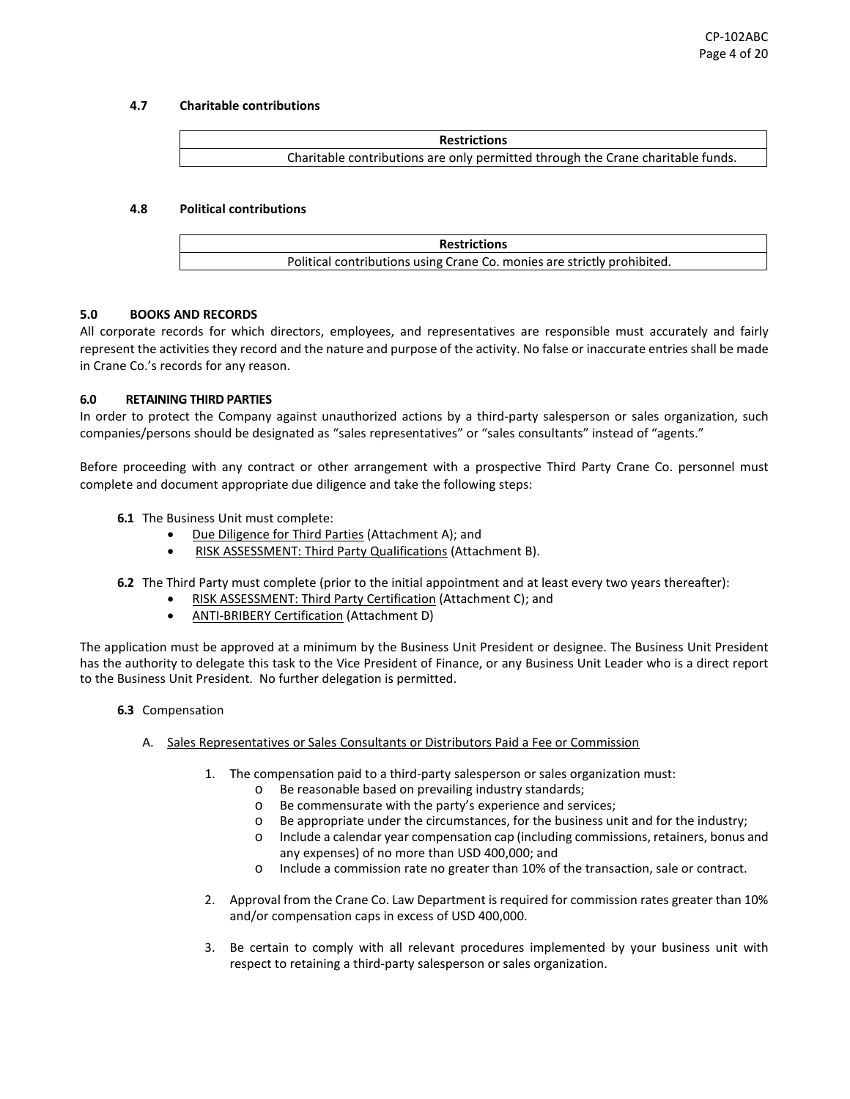#### **4.7 Charitable contributions**



#### **4.8 Political contributions**



#### **5.0 BOOKS AND RECORDS**

All corporate records for which directors, employees, and representatives are responsible must accurately and fairly represent the activities they record and the nature and purpose of the activity. No false or inaccurate entries shall be made in Crane Co.'s records for any reason.

#### **6.0 RETAINING THIRD PARTIES**

In order to protect the Company against unauthorized actions by a third-party salesperson or sales organization, such companies/persons should be designated as "sales representatives" or "sales consultants" instead of "agents."

Before proceeding with any contract or other arrangement with a prospective Third Party Crane Co. personnel must complete and document appropriate due diligence and take the following steps:

- **6.1** The Business Unit must complete:
	- Due Diligence for Third Parties (Attachment A); and
	- RISK ASSESSMENT: Third Party Qualifications (Attachment B).
- **6.2** The Third Party must complete (prior to the initial appointment and at least every two years thereafter):
	- RISK ASSESSMENT: Third Party Certification (Attachment C); and
	- ANTI-BRIBERY Certification (Attachment D)

The application must be approved at a minimum by the Business Unit President or designee. The Business Unit President has the authority to delegate this task to the Vice President of Finance, or any Business Unit Leader who is a direct report to the Business Unit President. No further delegation is permitted.

- **6.3** Compensation
	- A. Sales Representatives or Sales Consultants or Distributors Paid a Fee or Commission
		- 1. The compensation paid to a third-party salesperson or sales organization must:
			- o Be reasonable based on prevailing industry standards;
			- o Be commensurate with the party's experience and services;
			- o Be appropriate under the circumstances, for the business unit and for the industry;
			- o Include a calendar year compensation cap (including commissions, retainers, bonus and any expenses) of no more than USD 400,000; and
			- o Include a commission rate no greater than 10% of the transaction, sale or contract.
			- 2. Approval from the Crane Co. Law Department is required for commission rates greater than 10% and/or compensation caps in excess of USD 400,000.
			- 3. Be certain to comply with all relevant procedures implemented by your business unit with respect to retaining a third-party salesperson or sales organization.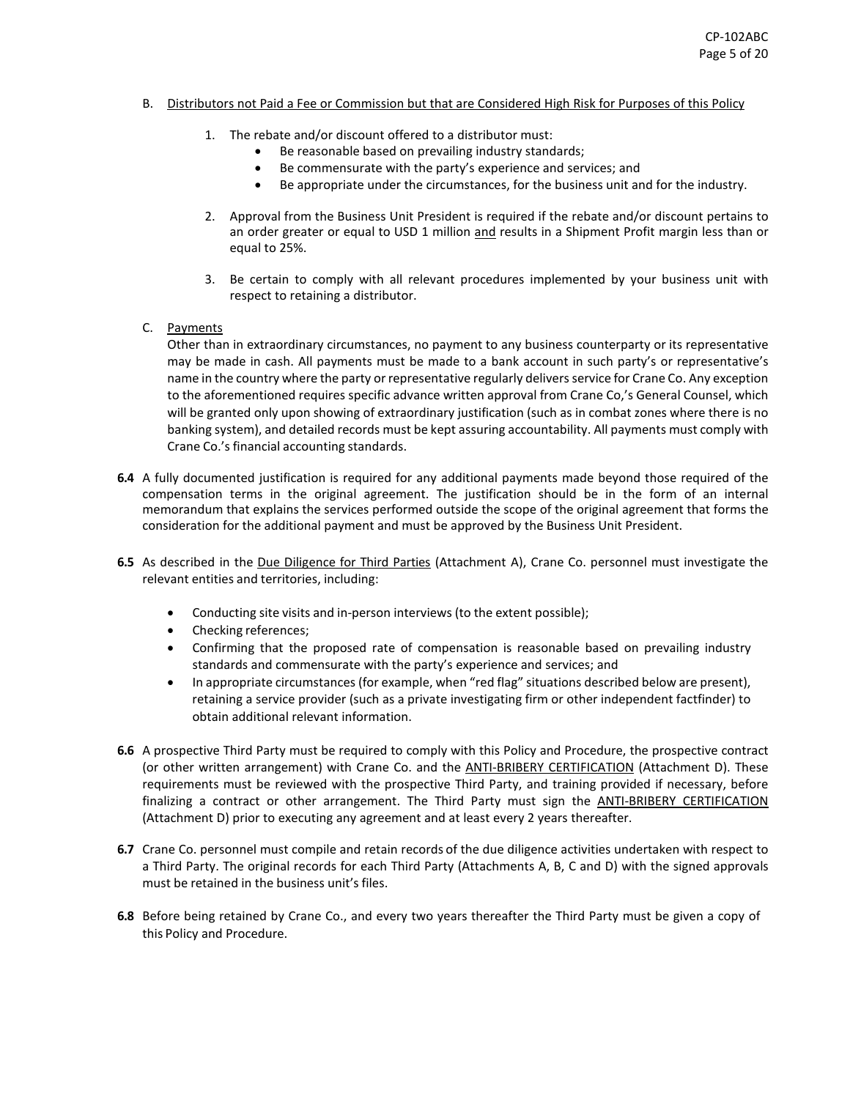#### B. Distributors not Paid a Fee or Commission but that are Considered High Risk for Purposes of this Policy

- 1. The rebate and/or discount offered to a distributor must:
	- Be reasonable based on prevailing industry standards;
	- Be commensurate with the party's experience and services; and
	- Be appropriate under the circumstances, for the business unit and for the industry.
- 2. Approval from the Business Unit President is required if the rebate and/or discount pertains to an order greater or equal to USD 1 million and results in a Shipment Profit margin less than or equal to 25%.
- 3. Be certain to comply with all relevant procedures implemented by your business unit with respect to retaining a distributor.
- C. Payments

Other than in extraordinary circumstances, no payment to any business counterparty or its representative may be made in cash. All payments must be made to a bank account in such party's or representative's name in the country where the party or representative regularly delivers service for Crane Co. Any exception to the aforementioned requires specific advance written approval from Crane Co,'s General Counsel, which will be granted only upon showing of extraordinary justification (such as in combat zones where there is no banking system), and detailed records must be kept assuring accountability. All payments must comply with Crane Co.'s financial accounting standards.

- **6.4** A fully documented justification is required for any additional payments made beyond those required of the compensation terms in the original agreement. The justification should be in the form of an internal memorandum that explains the services performed outside the scope of the original agreement that forms the consideration for the additional payment and must be approved by the Business Unit President.
- **6.5** As described in the Due Diligence for Third Parties (Attachment A), Crane Co. personnel must investigate the relevant entities and territories, including:
	- Conducting site visits and in-person interviews (to the extent possible);
	- Checking references;
	- Confirming that the proposed rate of compensation is reasonable based on prevailing industry standards and commensurate with the party's experience and services; and
	- In appropriate circumstances (for example, when "red flag" situations described below are present), retaining a service provider (such as a private investigating firm or other independent factfinder) to obtain additional relevant information.
- **6.6** A prospective Third Party must be required to comply with this Policy and Procedure, the prospective contract (or other written arrangement) with Crane Co. and the ANTI-BRIBERY CERTIFICATION (Attachment D). These requirements must be reviewed with the prospective Third Party, and training provided if necessary, before finalizing a contract or other arrangement. The Third Party must sign the ANTI-BRIBERY CERTIFICATION (Attachment D) prior to executing any agreement and at least every 2 years thereafter.
- **6.7** Crane Co. personnel must compile and retain records of the due diligence activities undertaken with respect to a Third Party. The original records for each Third Party (Attachments A, B, C and D) with the signed approvals must be retained in the business unit's files.
- **6.8** Before being retained by Crane Co., and every two years thereafter the Third Party must be given a copy of this Policy and Procedure.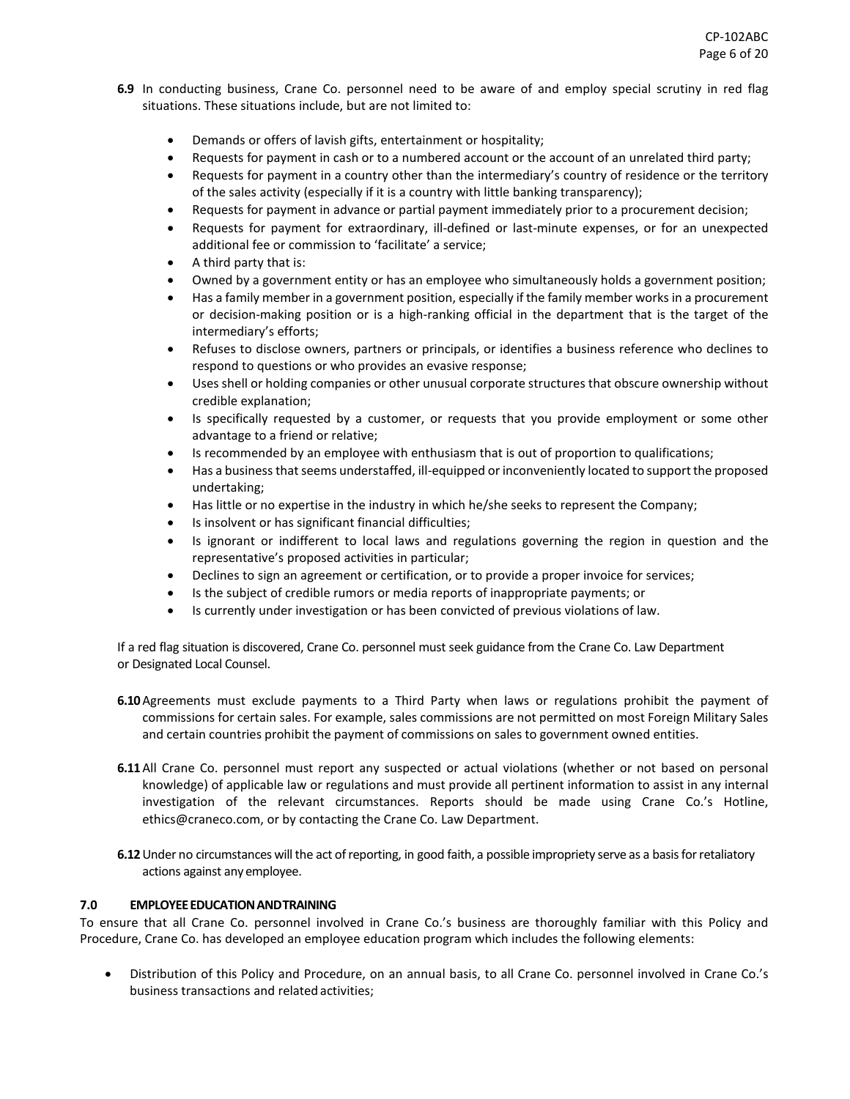- **6.9** In conducting business, Crane Co. personnel need to be aware of and employ special scrutiny in red flag situations. These situations include, but are not limited to:
	- Demands or offers of lavish gifts, entertainment or hospitality;
	- Requests for payment in cash or to a numbered account or the account of an unrelated third party;
	- Requests for payment in a country other than the intermediary's country of residence or the territory of the sales activity (especially if it is a country with little banking transparency);
	- Requests for payment in advance or partial payment immediately prior to a procurement decision;
	- Requests for payment for extraordinary, ill-defined or last-minute expenses, or for an unexpected additional fee or commission to 'facilitate' a service;
	- A third party that is:
	- Owned by a government entity or has an employee who simultaneously holds a government position;
	- Has a family member in a government position, especially if the family member works in a procurement or decision-making position or is a high-ranking official in the department that is the target of the intermediary's efforts;
	- Refuses to disclose owners, partners or principals, or identifies a business reference who declines to respond to questions or who provides an evasive response;
	- Uses shell or holding companies or other unusual corporate structures that obscure ownership without credible explanation;
	- Is specifically requested by a customer, or requests that you provide employment or some other advantage to a friend or relative;
	- Is recommended by an employee with enthusiasm that is out of proportion to qualifications;
	- Has a business that seems understaffed, ill-equipped or inconveniently located to support the proposed undertaking;
	- Has little or no expertise in the industry in which he/she seeks to represent the Company;
	- Is insolvent or has significant financial difficulties;
	- Is ignorant or indifferent to local laws and regulations governing the region in question and the representative's proposed activities in particular;
	- Declines to sign an agreement or certification, or to provide a proper invoice for services;
	- Is the subject of credible rumors or media reports of inappropriate payments; or
	- Is currently under investigation or has been convicted of previous violations of law.

If a red flag situation is discovered, Crane Co. personnel must seek guidance from the Crane Co. Law Department or Designated Local Counsel.

- **6.10**Agreements must exclude payments to a Third Party when laws or regulations prohibit the payment of commissions for certain sales. For example, sales commissions are not permitted on most Foreign Military Sales and certain countries prohibit the payment of commissions on sales to government owned entities.
- **6.11**All Crane Co. personnel must report any suspected or actual violations (whether or not based on personal knowledge) of applicable law or regulations and must provide all pertinent information to assist in any internal investigation of the relevant circumstances. Reports should be made using Crane Co.'s Hotline, [ethics@craneco.com,](mailto:ethics@craneco.com) or by contacting the Crane Co. Law Department.
- **6.12** Under no circumstances will the act of reporting, in good faith, a possible impropriety serve as a basis for retaliatory actions against any employee.

## **7.0 EMPLOYEE EDUCATION ANDTRAINING**

To ensure that all Crane Co. personnel involved in Crane Co.'s business are thoroughly familiar with this Policy and Procedure, Crane Co. has developed an employee education program which includes the following elements:

• Distribution of this Policy and Procedure, on an annual basis, to all Crane Co. personnel involved in Crane Co.'s business transactions and related activities;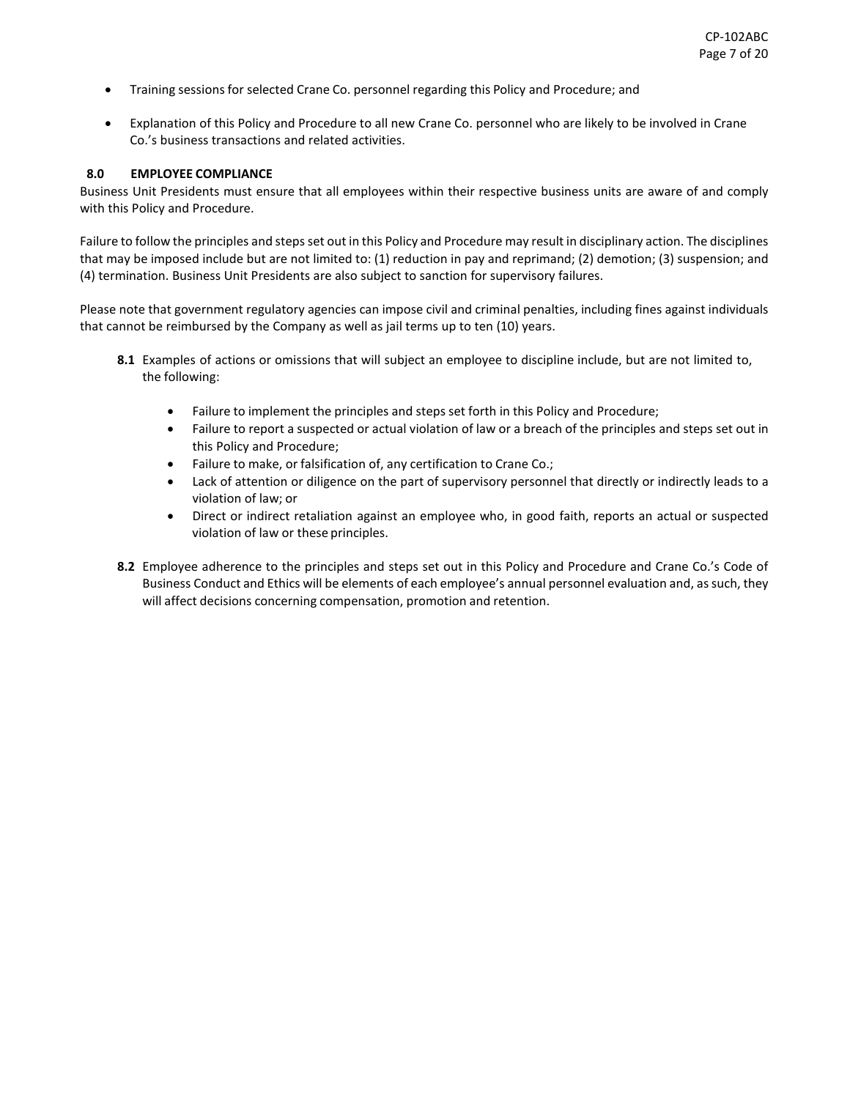- Training sessions for selected Crane Co. personnel regarding this Policy and Procedure; and
- Explanation of this Policy and Procedure to all new Crane Co. personnel who are likely to be involved in Crane Co.'s business transactions and related activities.

#### **8.0 EMPLOYEE COMPLIANCE**

Business Unit Presidents must ensure that all employees within their respective business units are aware of and comply with this Policy and Procedure.

Failure to follow the principles and steps set out in this Policy and Procedure may result in disciplinary action. The disciplines that may be imposed include but are not limited to: (1) reduction in pay and reprimand; (2) demotion; (3) suspension; and (4) termination. Business Unit Presidents are also subject to sanction for supervisory failures.

Please note that government regulatory agencies can impose civil and criminal penalties, including fines against individuals that cannot be reimbursed by the Company as well as jail terms up to ten (10) years.

- **8.1** Examples of actions or omissions that will subject an employee to discipline include, but are not limited to, the following:
	- Failure to implement the principles and steps set forth in this Policy and Procedure;
	- Failure to report a suspected or actual violation of law or a breach of the principles and steps set out in this Policy and Procedure;
	- Failure to make, or falsification of, any certification to Crane Co.;
	- Lack of attention or diligence on the part of supervisory personnel that directly or indirectly leads to a violation of law; or
	- Direct or indirect retaliation against an employee who, in good faith, reports an actual or suspected violation of law or these principles.
- **8.2** Employee adherence to the principles and steps set out in this Policy and Procedure and Crane Co.'s Code of Business Conduct and Ethics will be elements of each employee's annual personnel evaluation and, as such, they will affect decisions concerning compensation, promotion and retention.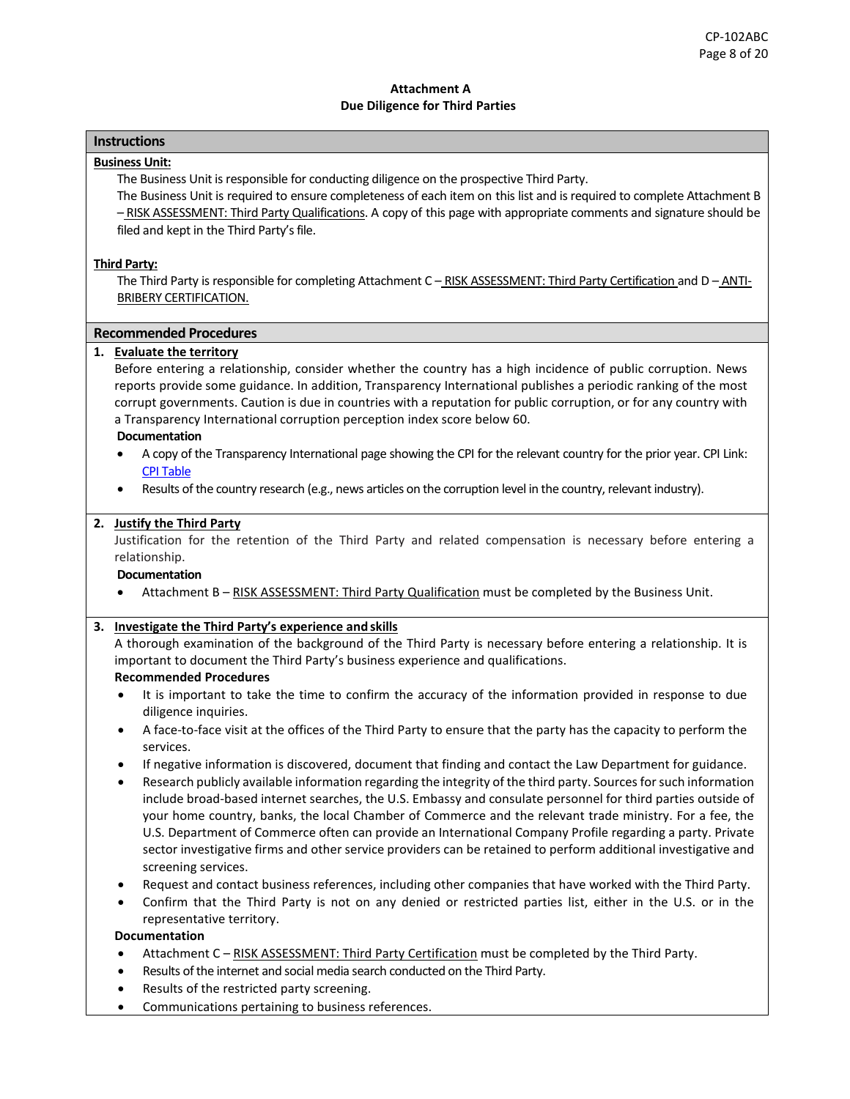### **Attachment A Due Diligence for Third Parties**

# **Instructions**

### **Business Unit:**

The Business Unit is responsible for conducting diligence on the prospective Third Party.

The Business Unit is required to ensure completeness of each item on this list and is required to complete Attachment B – RISK ASSESSMENT: Third Party Qualifications. A copy of this page with appropriate comments and signature should be filed and kept in the Third Party's file.

### **Third Party:**

The Third Party is responsible for completing Attachment C - RISK ASSESSMENT: Third Party Certification and D - ANTI-BRIBERY CERTIFICATION.

### **Recommended Procedures**

### **1. Evaluate the territory**

Before entering a relationship, consider whether the country has a high incidence of public corruption. News reports provide some guidance. In addition, Transparency International publishes a periodic ranking of the most corrupt governments. Caution is due in countries with a reputation for public corruption, or for any country with a Transparency International corruption perception index score below 60.

#### **Documentation**

- A copy of the Transparency International page showing the CPI for the relevant country for the prior year. CPI Link: [CPI Table](https://www.transparency.org/en/cpi/2019/results/table)
- Results of the country research (e.g., news articles on the corruption level in the country, relevant industry).

## **2. Justify the Third Party**

Justification for the retention of the Third Party and related compensation is necessary before entering a relationship.

#### **Documentation**

Attachment B - RISK ASSESSMENT: Third Party Qualification must be completed by the Business Unit.

## **3. Investigate the Third Party's experience and skills**

A thorough examination of the background of the Third Party is necessary before entering a relationship. It is important to document the Third Party's business experience and qualifications.

## **Recommended Procedures**

- It is important to take the time to confirm the accuracy of the information provided in response to due diligence inquiries.
- A face-to-face visit at the offices of the Third Party to ensure that the party has the capacity to perform the services.
- If negative information is discovered, document that finding and contact the Law Department for guidance.
- Research publicly available information regarding the integrity of the third party. Sources for such information include broad-based internet searches, the U.S. Embassy and consulate personnel for third parties outside of your home country, banks, the local Chamber of Commerce and the relevant trade ministry. For a fee, the U.S. Department of Commerce often can provide an International Company Profile regarding a party. Private sector investigative firms and other service providers can be retained to perform additional investigative and screening services.
- Request and contact business references, including other companies that have worked with the Third Party.
- Confirm that the Third Party is not on any denied or restricted parties list, either in the U.S. or in the representative territory.

#### **Documentation**

- Attachment C RISK ASSESSMENT: Third Party Certification must be completed by the Third Party.
- Results of the internet and social media search conducted on the Third Party.
- Results of the restricted party screening.
- Communications pertaining to business references.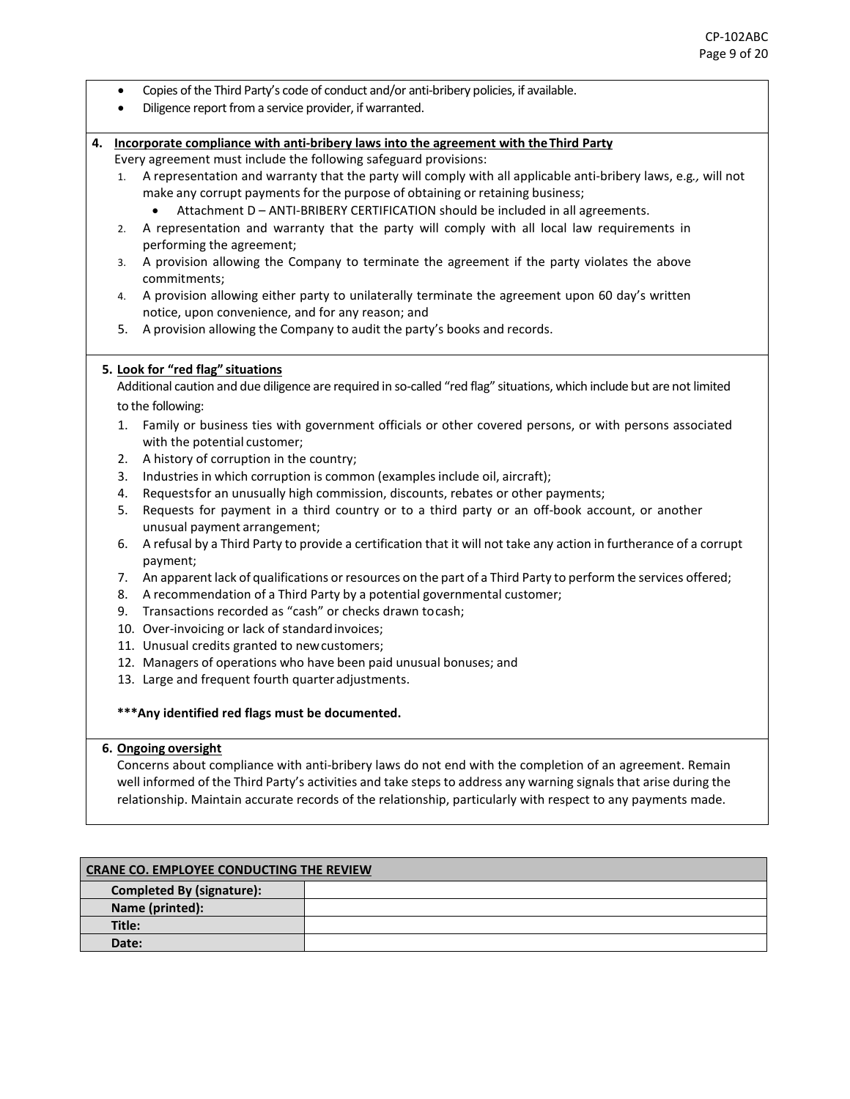- Copies of the Third Party's code of conduct and/or anti-bribery policies, if available.
- Diligence report from a service provider, if warranted.

### **4. Incorporate compliance with anti-bribery laws into the agreement with theThird Party**

- Every agreement must include the following safeguard provisions:
- 1. A representation and warranty that the party will comply with all applicable anti-bribery laws, e.g*.,* will not make any corrupt payments for the purpose of obtaining or retaining business;
	- Attachment D ANTI-BRIBERY CERTIFICATION should be included in all agreements.
- 2. A representation and warranty that the party will comply with all local law requirements in performing the agreement;
- 3. A provision allowing the Company to terminate the agreement if the party violates the above commitments;
- 4. A provision allowing either party to unilaterally terminate the agreement upon 60 day's written notice, upon convenience, and for any reason; and
- 5. A provision allowing the Company to audit the party's books and records.

## **5. Look for "red flag" situations**

Additional caution and due diligence are required in so-called "red flag" situations, which include but are not limited to the following:

- 1. Family or business ties with government officials or other covered persons, or with persons associated with the potential customer;
- 2. A history of corruption in the country;
- 3. Industries in which corruption is common (examples include oil, aircraft);
- 4. Requestsfor an unusually high commission, discounts, rebates or other payments;
- 5. Requests for payment in a third country or to a third party or an off-book account, or another unusual payment arrangement;
- 6. A refusal by a Third Party to provide a certification that it will not take any action in furtherance of a corrupt payment;
- 7. An apparent lack of qualifications or resources on the part of a Third Party to perform the services offered;
- 8. A recommendation of a Third Party by a potential governmental customer;
- 9. Transactions recorded as "cash" or checks drawn tocash;
- 10. Over-invoicing or lack of standardinvoices;
- 11. Unusual credits granted to newcustomers;
- 12. Managers of operations who have been paid unusual bonuses; and
- 13. Large and frequent fourth quarteradjustments.
- **\*\*\*Any identified red flags must be documented.**

#### **6. Ongoing oversight**

Concerns about compliance with anti-bribery laws do not end with the completion of an agreement. Remain well informed of the Third Party's activities and take steps to address any warning signals that arise during the relationship. Maintain accurate records of the relationship, particularly with respect to any payments made.

| <b>CRANE CO. EMPLOYEE CONDUCTING THE REVIEW</b> |  |  |
|-------------------------------------------------|--|--|
| <b>Completed By (signature):</b>                |  |  |
| Name (printed):                                 |  |  |
| Title:                                          |  |  |
| Date:                                           |  |  |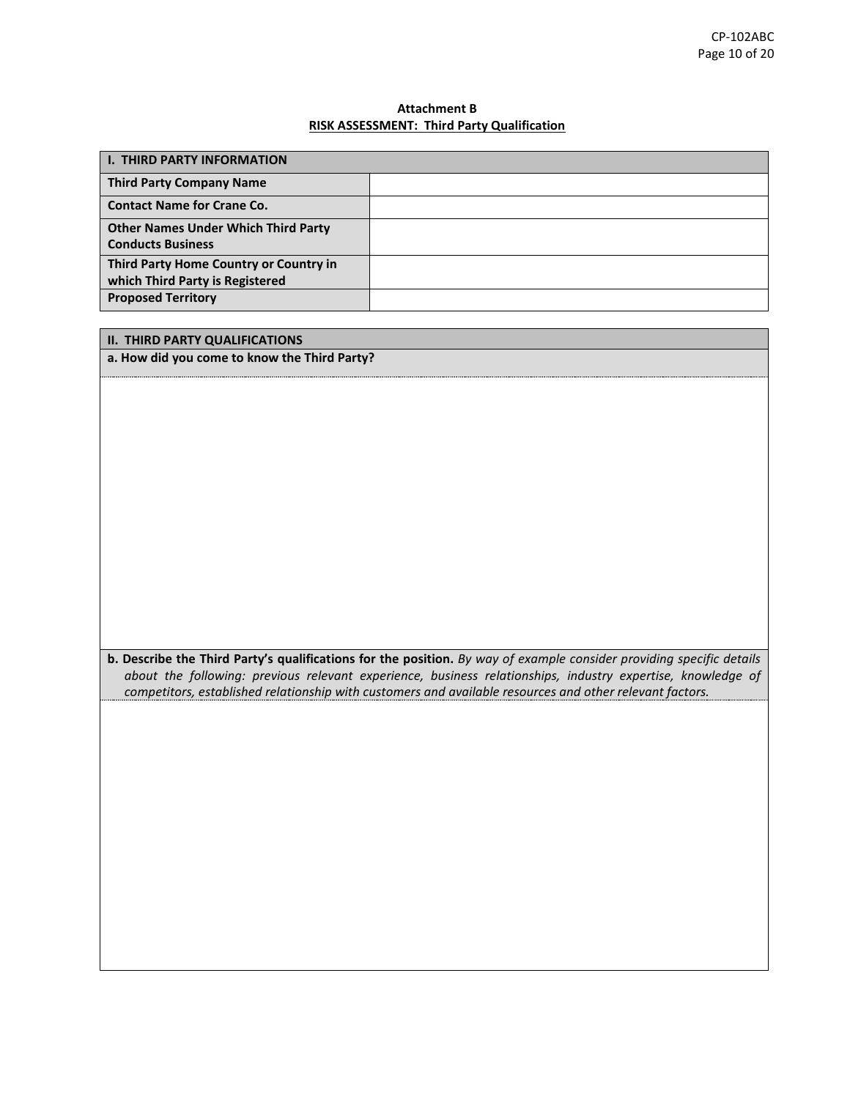## **Attachment B RISK ASSESSMENT: Third Party Qualification**

| <b>I. THIRD PARTY INFORMATION</b>                                         |  |
|---------------------------------------------------------------------------|--|
| <b>Third Party Company Name</b>                                           |  |
| <b>Contact Name for Crane Co.</b>                                         |  |
| <b>Other Names Under Which Third Party</b><br><b>Conducts Business</b>    |  |
| Third Party Home Country or Country in<br>which Third Party is Registered |  |
| <b>Proposed Territory</b>                                                 |  |

| <b>II. THIRD PARTY QUALIFICATIONS</b>                                                                                |
|----------------------------------------------------------------------------------------------------------------------|
| a. How did you come to know the Third Party?                                                                         |
|                                                                                                                      |
|                                                                                                                      |
|                                                                                                                      |
|                                                                                                                      |
|                                                                                                                      |
|                                                                                                                      |
|                                                                                                                      |
|                                                                                                                      |
|                                                                                                                      |
|                                                                                                                      |
|                                                                                                                      |
|                                                                                                                      |
|                                                                                                                      |
|                                                                                                                      |
| b. Describe the Third Party's qualifications for the position. By way of example consider providing specific details |
| about the following: previous relevant experience, business relationships, industry expertise, knowledge of          |
| competitors, established relationship with customers and available resources and other relevant factors.             |
|                                                                                                                      |
|                                                                                                                      |
|                                                                                                                      |
|                                                                                                                      |
|                                                                                                                      |
|                                                                                                                      |
|                                                                                                                      |
|                                                                                                                      |
|                                                                                                                      |
|                                                                                                                      |
|                                                                                                                      |
|                                                                                                                      |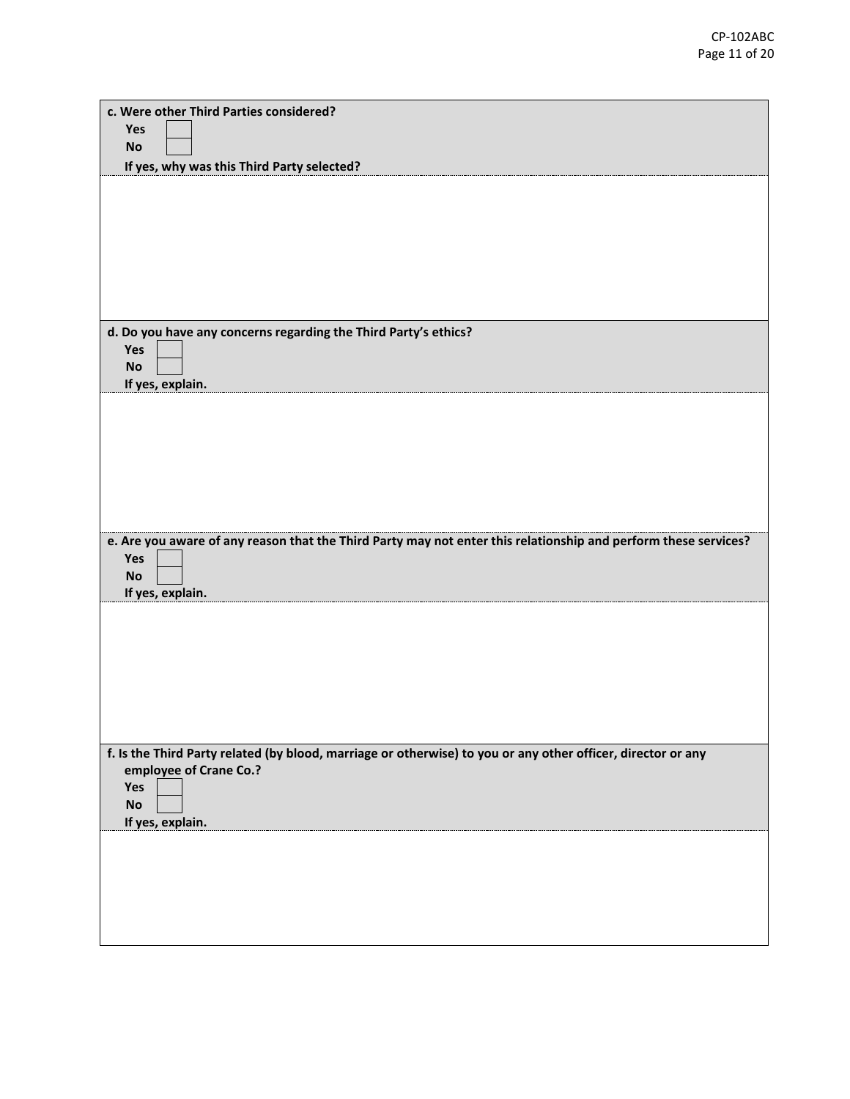| c. Were other Third Parties considered?<br><b>Yes</b>                                                                  |
|------------------------------------------------------------------------------------------------------------------------|
| <b>No</b>                                                                                                              |
| If yes, why was this Third Party selected?                                                                             |
|                                                                                                                        |
|                                                                                                                        |
|                                                                                                                        |
|                                                                                                                        |
|                                                                                                                        |
|                                                                                                                        |
| d. Do you have any concerns regarding the Third Party's ethics?                                                        |
| Yes                                                                                                                    |
| <b>No</b>                                                                                                              |
| If yes, explain.                                                                                                       |
|                                                                                                                        |
|                                                                                                                        |
|                                                                                                                        |
|                                                                                                                        |
|                                                                                                                        |
|                                                                                                                        |
| e. Are you aware of any reason that the Third Party may not enter this relationship and perform these services?<br>Yes |
| <b>No</b>                                                                                                              |
| If yes, explain.                                                                                                       |
|                                                                                                                        |
|                                                                                                                        |
|                                                                                                                        |
|                                                                                                                        |
|                                                                                                                        |
|                                                                                                                        |
| f. Is the Third Party related (by blood, marriage or otherwise) to you or any other officer, director or any           |
| employee of Crane Co.?                                                                                                 |
| Yes<br><b>No</b>                                                                                                       |
| If yes, explain.                                                                                                       |
|                                                                                                                        |
|                                                                                                                        |
|                                                                                                                        |
|                                                                                                                        |
|                                                                                                                        |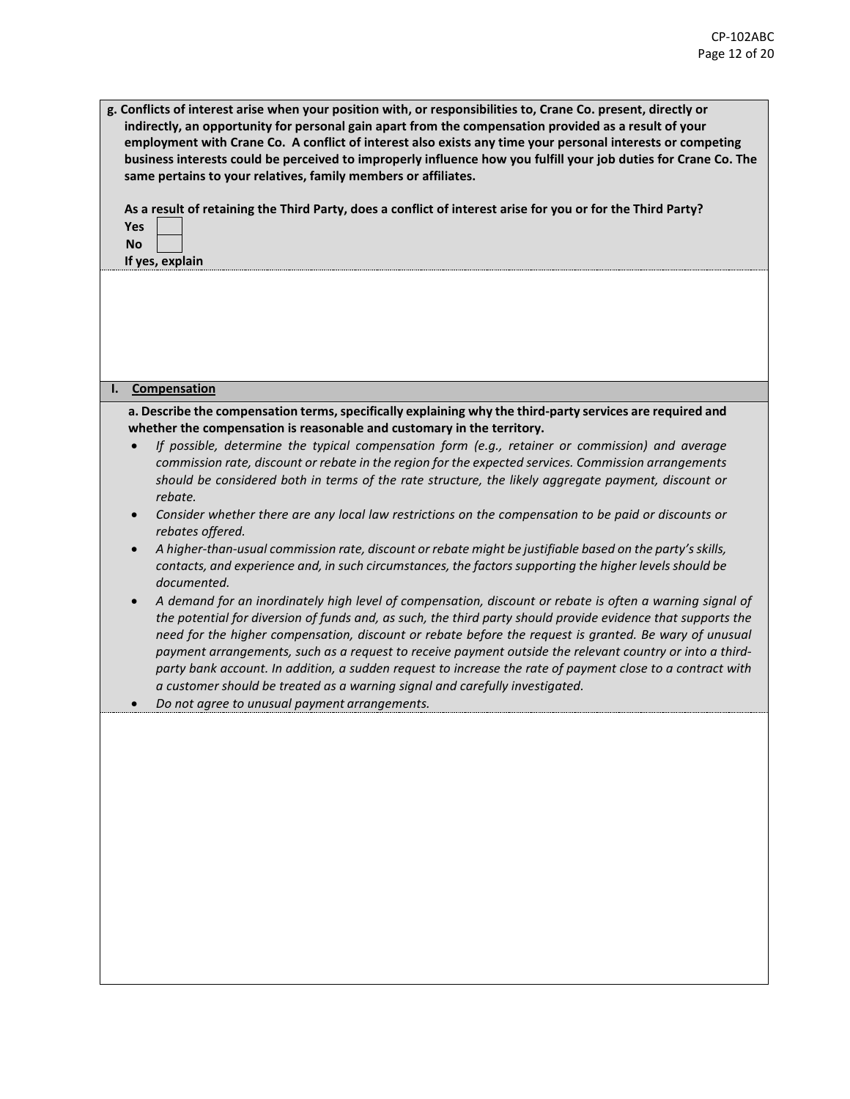| g. Conflicts of interest arise when your position with, or responsibilities to, Crane Co. present, directly or<br>indirectly, an opportunity for personal gain apart from the compensation provided as a result of your<br>employment with Crane Co. A conflict of interest also exists any time your personal interests or competing<br>business interests could be perceived to improperly influence how you fulfill your job duties for Crane Co. The<br>same pertains to your relatives, family members or affiliates.<br>As a result of retaining the Third Party, does a conflict of interest arise for you or for the Third Party?<br>Yes<br><b>No</b><br>If yes, explain |
|----------------------------------------------------------------------------------------------------------------------------------------------------------------------------------------------------------------------------------------------------------------------------------------------------------------------------------------------------------------------------------------------------------------------------------------------------------------------------------------------------------------------------------------------------------------------------------------------------------------------------------------------------------------------------------|
| Compensation<br>ı.                                                                                                                                                                                                                                                                                                                                                                                                                                                                                                                                                                                                                                                               |
| a. Describe the compensation terms, specifically explaining why the third-party services are required and                                                                                                                                                                                                                                                                                                                                                                                                                                                                                                                                                                        |
| whether the compensation is reasonable and customary in the territory.                                                                                                                                                                                                                                                                                                                                                                                                                                                                                                                                                                                                           |
| If possible, determine the typical compensation form (e.g., retainer or commission) and average<br>commission rate, discount or rebate in the region for the expected services. Commission arrangements<br>should be considered both in terms of the rate structure, the likely aggregate payment, discount or<br>rebate.                                                                                                                                                                                                                                                                                                                                                        |
| Consider whether there are any local law restrictions on the compensation to be paid or discounts or<br>rebates offered.<br>A higher-than-usual commission rate, discount or rebate might be justifiable based on the party's skills,                                                                                                                                                                                                                                                                                                                                                                                                                                            |
| contacts, and experience and, in such circumstances, the factors supporting the higher levels should be<br>documented.                                                                                                                                                                                                                                                                                                                                                                                                                                                                                                                                                           |
| A demand for an inordinately high level of compensation, discount or rebate is often a warning signal of<br>the potential for diversion of funds and, as such, the third party should provide evidence that supports the<br>need for the higher compensation, discount or rebate before the request is granted. Be wary of unusual<br>payment arrangements, such as a request to receive payment outside the relevant country or into a third-<br>party bank account. In addition, a sudden request to increase the rate of payment close to a contract with<br>a customer should be treated as a warning signal and carefully investigated.                                     |
| Do not agree to unusual payment arrangements.                                                                                                                                                                                                                                                                                                                                                                                                                                                                                                                                                                                                                                    |
|                                                                                                                                                                                                                                                                                                                                                                                                                                                                                                                                                                                                                                                                                  |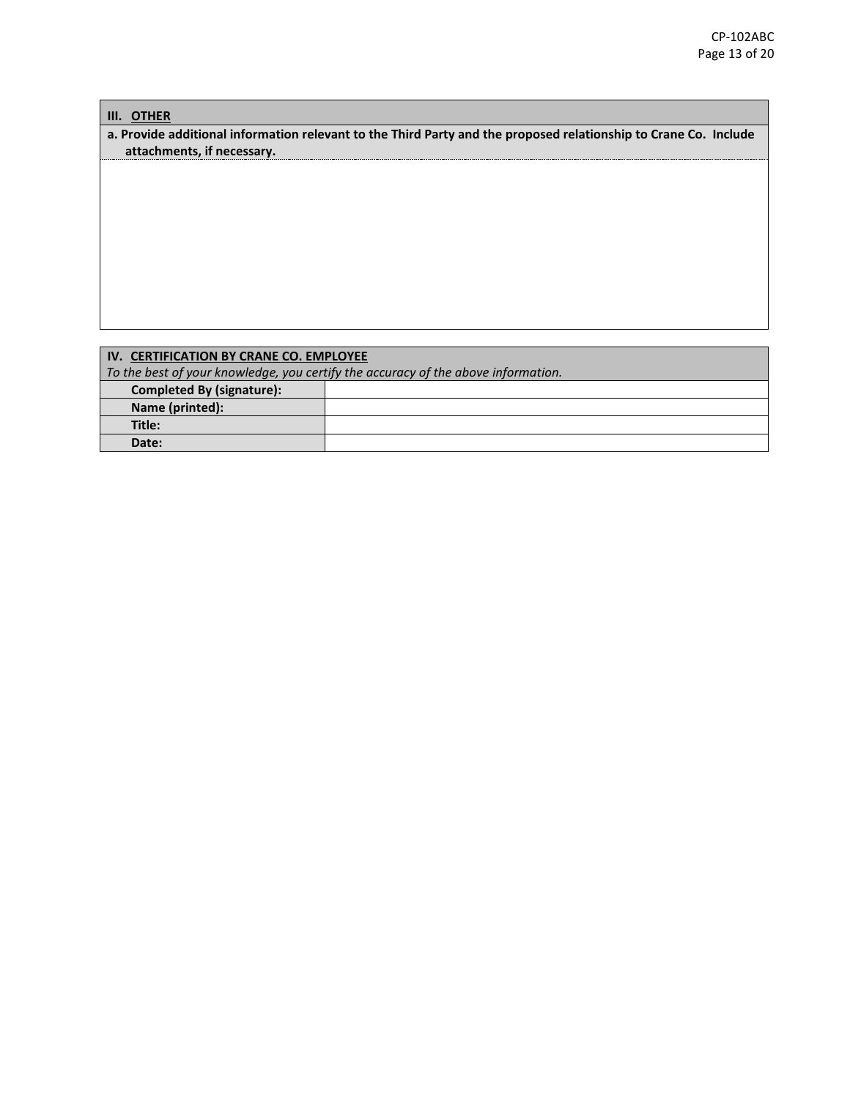## **III. OTHER**

**a. Provide additional information relevant to the Third Party and the proposed relationship to Crane Co. Include attachments, if necessary.**

# **IV. CERTIFICATION BY CRANE CO. EMPLOYEE**

*To the best of your knowledge, you certify the accuracy of the above information.* 

| <b>Completed By (signature):</b> |  |
|----------------------------------|--|
| Name (printed):                  |  |
| Title:                           |  |
| Date:                            |  |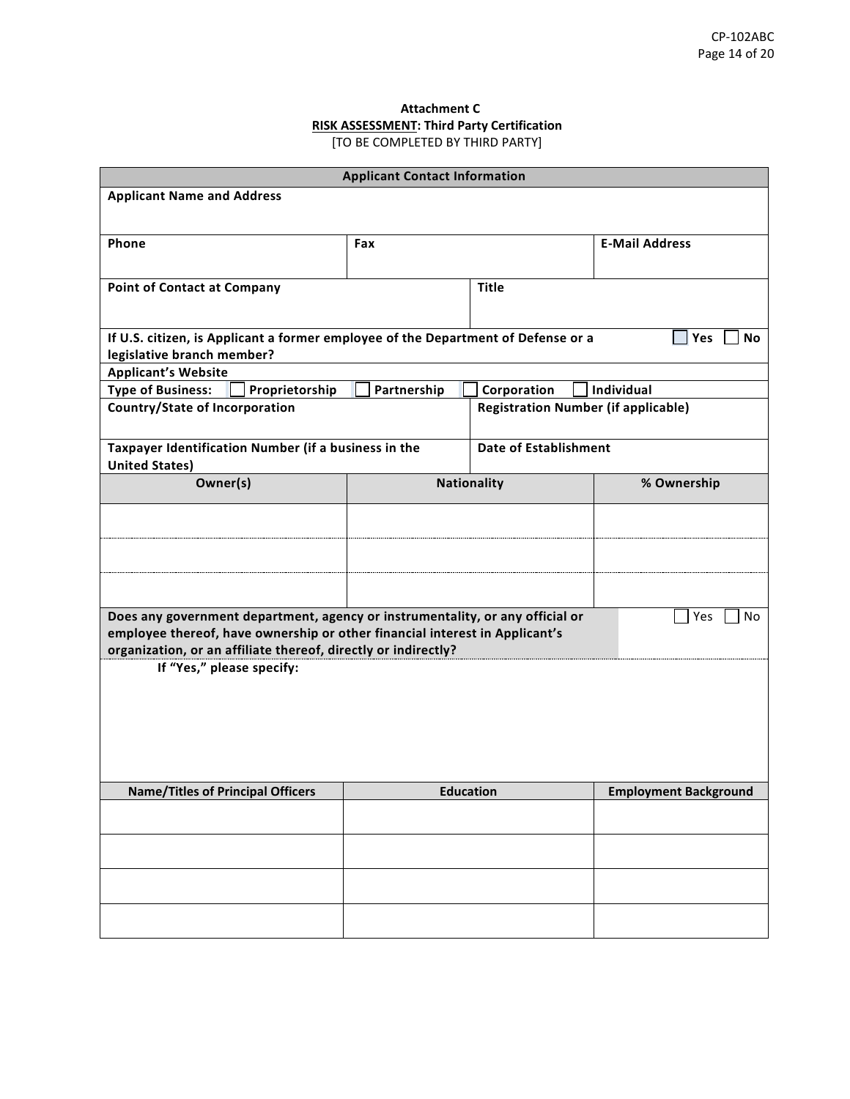## **Attachment C RISK ASSESSMENT: Third Party Certification** [TO BE COMPLETED BY THIRD PARTY]

| <b>Applicant Contact Information</b>                                                                                                                         |             |                                            |                              |
|--------------------------------------------------------------------------------------------------------------------------------------------------------------|-------------|--------------------------------------------|------------------------------|
| <b>Applicant Name and Address</b>                                                                                                                            |             |                                            |                              |
|                                                                                                                                                              |             |                                            |                              |
| Phone                                                                                                                                                        | Fax         |                                            | <b>E-Mail Address</b>        |
|                                                                                                                                                              |             |                                            |                              |
| <b>Point of Contact at Company</b>                                                                                                                           |             | <b>Title</b>                               |                              |
|                                                                                                                                                              |             |                                            |                              |
|                                                                                                                                                              |             |                                            | <b>Yes</b><br><b>No</b>      |
| If U.S. citizen, is Applicant a former employee of the Department of Defense or a<br>legislative branch member?                                              |             |                                            |                              |
| <b>Applicant's Website</b>                                                                                                                                   |             |                                            |                              |
| <b>Type of Business:</b><br>Proprietorship                                                                                                                   | Partnership | Corporation                                | Individual                   |
| <b>Country/State of Incorporation</b>                                                                                                                        |             | <b>Registration Number (if applicable)</b> |                              |
|                                                                                                                                                              |             |                                            |                              |
| Taxpayer Identification Number (if a business in the                                                                                                         |             | <b>Date of Establishment</b>               |                              |
| <b>United States)</b><br>Owner(s)                                                                                                                            |             | <b>Nationality</b>                         | % Ownership                  |
|                                                                                                                                                              |             |                                            |                              |
|                                                                                                                                                              |             |                                            |                              |
|                                                                                                                                                              |             |                                            |                              |
|                                                                                                                                                              |             |                                            |                              |
|                                                                                                                                                              |             |                                            |                              |
|                                                                                                                                                              |             |                                            |                              |
| Does any government department, agency or instrumentality, or any official or<br>employee thereof, have ownership or other financial interest in Applicant's |             |                                            | Yes<br>No                    |
| organization, or an affiliate thereof, directly or indirectly?                                                                                               |             |                                            |                              |
| If "Yes," please specify:                                                                                                                                    |             |                                            |                              |
|                                                                                                                                                              |             |                                            |                              |
|                                                                                                                                                              |             |                                            |                              |
|                                                                                                                                                              |             |                                            |                              |
|                                                                                                                                                              |             |                                            |                              |
|                                                                                                                                                              |             |                                            |                              |
| Name/Titles of Principal Officers                                                                                                                            |             | <b>Education</b>                           | <b>Employment Background</b> |
|                                                                                                                                                              |             |                                            |                              |
|                                                                                                                                                              |             |                                            |                              |
|                                                                                                                                                              |             |                                            |                              |
|                                                                                                                                                              |             |                                            |                              |
|                                                                                                                                                              |             |                                            |                              |
|                                                                                                                                                              |             |                                            |                              |
|                                                                                                                                                              |             |                                            |                              |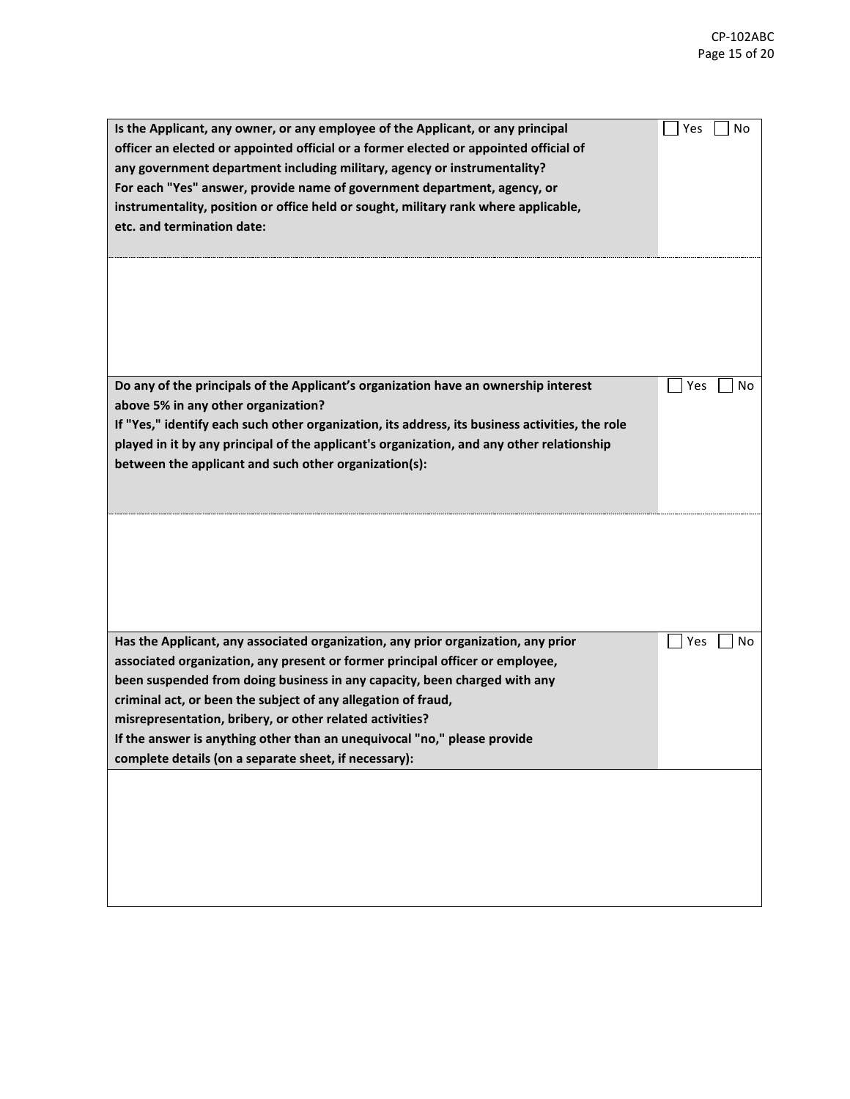| Is the Applicant, any owner, or any employee of the Applicant, or any principal<br>officer an elected or appointed official or a former elected or appointed official of<br>any government department including military, agency or instrumentality?<br>For each "Yes" answer, provide name of government department, agency, or<br>instrumentality, position or office held or sought, military rank where applicable,<br>etc. and termination date:                                                             | Yes<br>No |
|-------------------------------------------------------------------------------------------------------------------------------------------------------------------------------------------------------------------------------------------------------------------------------------------------------------------------------------------------------------------------------------------------------------------------------------------------------------------------------------------------------------------|-----------|
| Do any of the principals of the Applicant's organization have an ownership interest<br>above 5% in any other organization?<br>If "Yes," identify each such other organization, its address, its business activities, the role<br>played in it by any principal of the applicant's organization, and any other relationship<br>between the applicant and such other organization(s):                                                                                                                               | Yes<br>No |
|                                                                                                                                                                                                                                                                                                                                                                                                                                                                                                                   |           |
| Has the Applicant, any associated organization, any prior organization, any prior<br>associated organization, any present or former principal officer or employee,<br>been suspended from doing business in any capacity, been charged with any<br>criminal act, or been the subject of any allegation of fraud,<br>misrepresentation, bribery, or other related activities?<br>If the answer is anything other than an unequivocal "no," please provide<br>complete details (on a separate sheet, if necessary): | Yes<br>No |
|                                                                                                                                                                                                                                                                                                                                                                                                                                                                                                                   |           |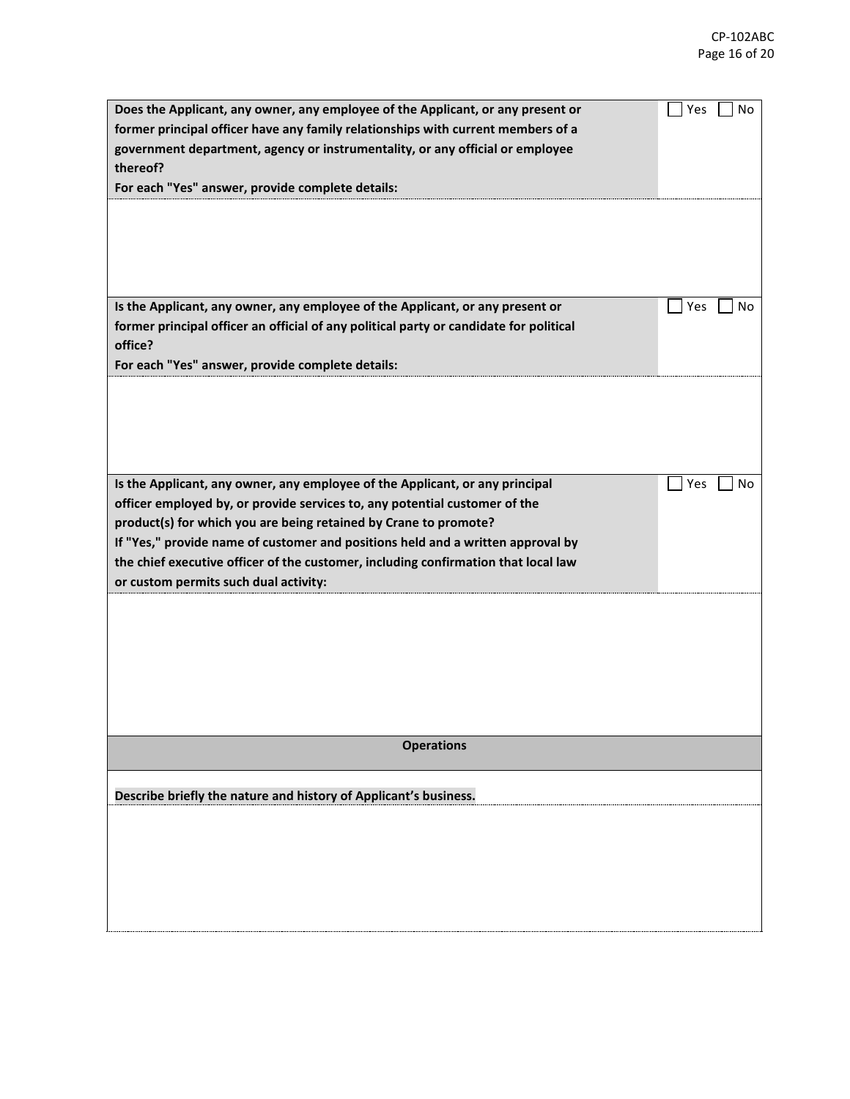| Does the Applicant, any owner, any employee of the Applicant, or any present or        | Yes<br>No |
|----------------------------------------------------------------------------------------|-----------|
| former principal officer have any family relationships with current members of a       |           |
| government department, agency or instrumentality, or any official or employee          |           |
| thereof?                                                                               |           |
| For each "Yes" answer, provide complete details:                                       |           |
|                                                                                        |           |
|                                                                                        |           |
|                                                                                        |           |
|                                                                                        |           |
|                                                                                        |           |
| Is the Applicant, any owner, any employee of the Applicant, or any present or          | Yes<br>No |
| former principal officer an official of any political party or candidate for political |           |
| office?                                                                                |           |
| For each "Yes" answer, provide complete details:                                       |           |
|                                                                                        |           |
|                                                                                        |           |
|                                                                                        |           |
|                                                                                        |           |
|                                                                                        |           |
| Is the Applicant, any owner, any employee of the Applicant, or any principal           | Yes<br>No |
| officer employed by, or provide services to, any potential customer of the             |           |
| product(s) for which you are being retained by Crane to promote?                       |           |
| If "Yes," provide name of customer and positions held and a written approval by        |           |
| the chief executive officer of the customer, including confirmation that local law     |           |
| or custom permits such dual activity:                                                  |           |
|                                                                                        |           |
|                                                                                        |           |
|                                                                                        |           |
|                                                                                        |           |
|                                                                                        |           |
|                                                                                        |           |
|                                                                                        |           |
| <b>Operations</b>                                                                      |           |
|                                                                                        |           |
|                                                                                        |           |
| Describe briefly the nature and history of Applicant's business.                       |           |
|                                                                                        |           |
|                                                                                        |           |
|                                                                                        |           |
|                                                                                        |           |
|                                                                                        |           |
|                                                                                        |           |
|                                                                                        |           |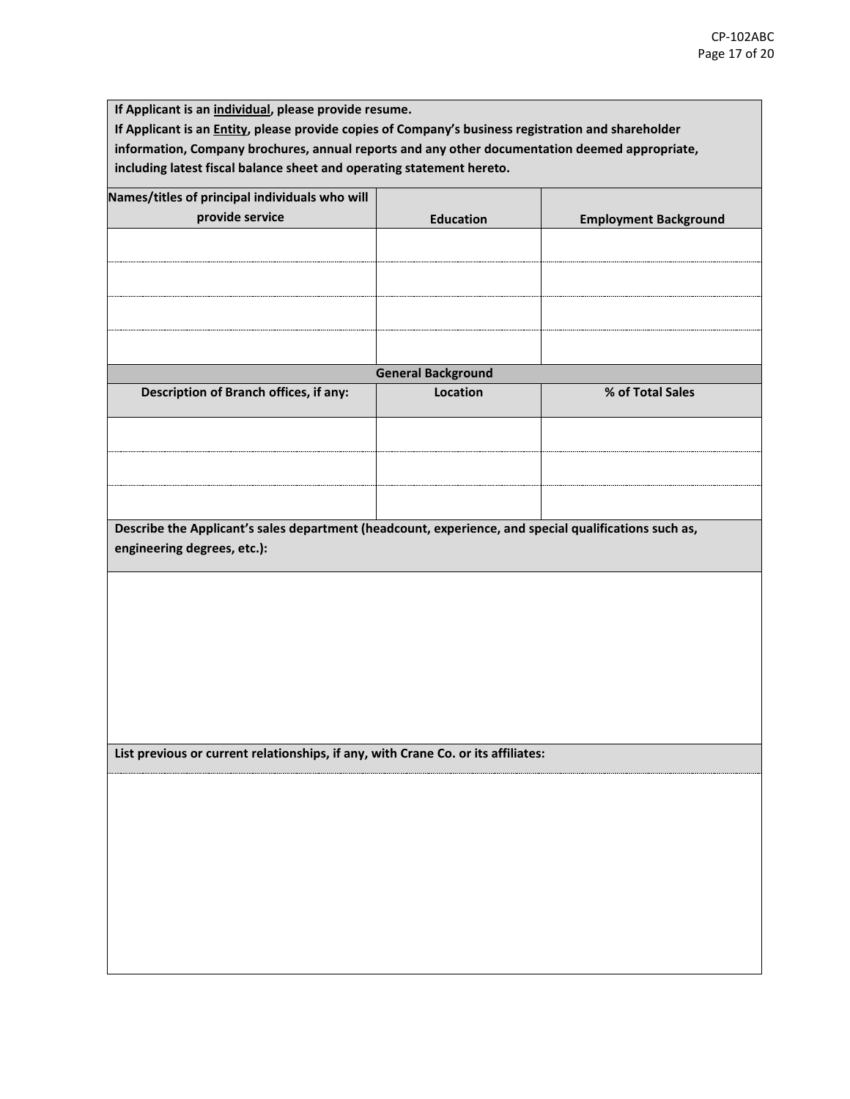**If Applicant is an individual, please provide resume. If Applicant is an Entity, please provide copies of Company's business registration and shareholder information, Company brochures, annual reports and any other documentation deemed appropriate, including latest fiscal balance sheet and operating statement hereto.**

| Names/titles of principal individuals who will                                                        |                           |                              |  |  |
|-------------------------------------------------------------------------------------------------------|---------------------------|------------------------------|--|--|
| provide service                                                                                       | <b>Education</b>          | <b>Employment Background</b> |  |  |
|                                                                                                       |                           |                              |  |  |
|                                                                                                       |                           |                              |  |  |
|                                                                                                       |                           |                              |  |  |
|                                                                                                       |                           |                              |  |  |
|                                                                                                       |                           |                              |  |  |
|                                                                                                       | <b>General Background</b> |                              |  |  |
| Description of Branch offices, if any:                                                                | Location                  | % of Total Sales             |  |  |
|                                                                                                       |                           |                              |  |  |
|                                                                                                       |                           |                              |  |  |
|                                                                                                       |                           |                              |  |  |
|                                                                                                       |                           |                              |  |  |
|                                                                                                       |                           |                              |  |  |
| Describe the Applicant's sales department (headcount, experience, and special qualifications such as, |                           |                              |  |  |
| engineering degrees, etc.):                                                                           |                           |                              |  |  |
|                                                                                                       |                           |                              |  |  |
|                                                                                                       |                           |                              |  |  |
|                                                                                                       |                           |                              |  |  |
|                                                                                                       |                           |                              |  |  |
|                                                                                                       |                           |                              |  |  |
|                                                                                                       |                           |                              |  |  |
|                                                                                                       |                           |                              |  |  |
|                                                                                                       |                           |                              |  |  |
| List previous or current relationships, if any, with Crane Co. or its affiliates:                     |                           |                              |  |  |
|                                                                                                       |                           |                              |  |  |
|                                                                                                       |                           |                              |  |  |
|                                                                                                       |                           |                              |  |  |
|                                                                                                       |                           |                              |  |  |
|                                                                                                       |                           |                              |  |  |
|                                                                                                       |                           |                              |  |  |
|                                                                                                       |                           |                              |  |  |
|                                                                                                       |                           |                              |  |  |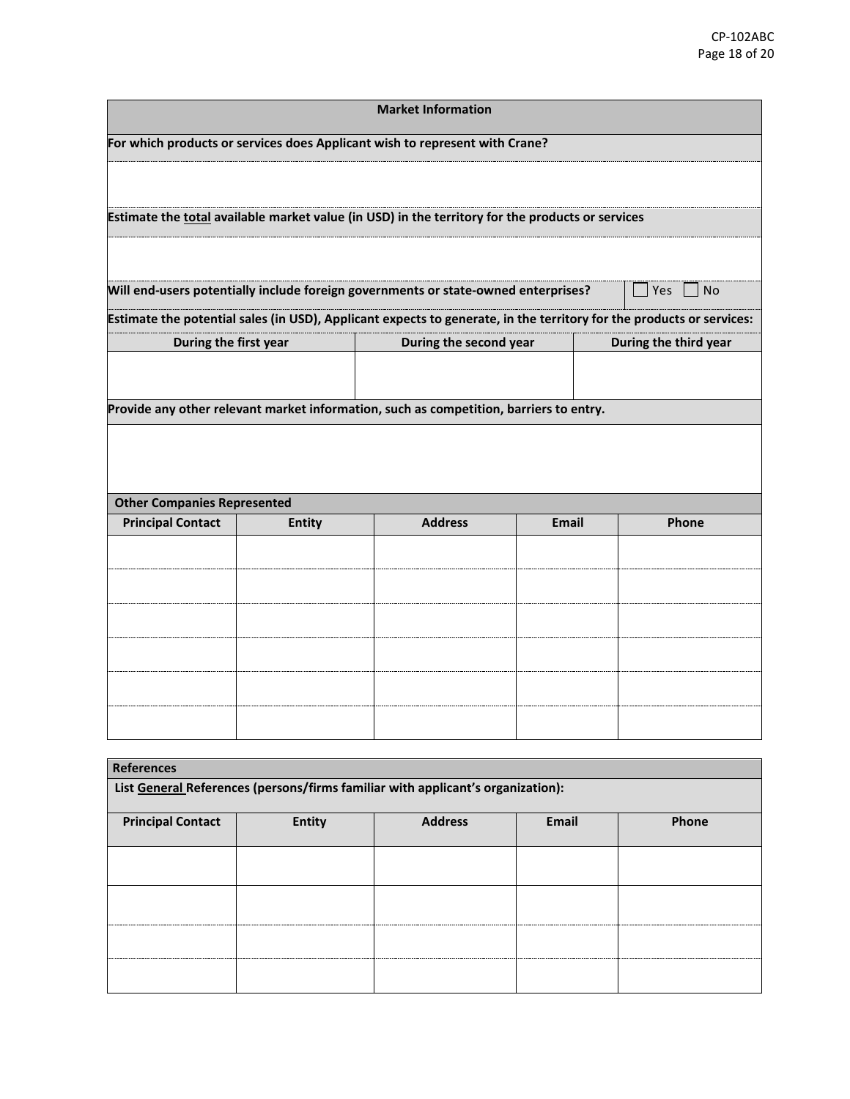| <b>Market Information</b>                                                              |                                                                                                  |                                                                                                                      |              |  |                       |  |  |
|----------------------------------------------------------------------------------------|--------------------------------------------------------------------------------------------------|----------------------------------------------------------------------------------------------------------------------|--------------|--|-----------------------|--|--|
| For which products or services does Applicant wish to represent with Crane?            |                                                                                                  |                                                                                                                      |              |  |                       |  |  |
|                                                                                        |                                                                                                  |                                                                                                                      |              |  |                       |  |  |
|                                                                                        | Estimate the total available market value (in USD) in the territory for the products or services |                                                                                                                      |              |  |                       |  |  |
|                                                                                        |                                                                                                  |                                                                                                                      |              |  |                       |  |  |
|                                                                                        |                                                                                                  | Will end-users potentially include foreign governments or state-owned enterprises?                                   |              |  | Yes<br><b>No</b>      |  |  |
|                                                                                        |                                                                                                  | Estimate the potential sales (in USD), Applicant expects to generate, in the territory for the products or services: |              |  |                       |  |  |
| During the first year                                                                  |                                                                                                  | During the second year                                                                                               |              |  | During the third year |  |  |
|                                                                                        |                                                                                                  |                                                                                                                      |              |  |                       |  |  |
| Provide any other relevant market information, such as competition, barriers to entry. |                                                                                                  |                                                                                                                      |              |  |                       |  |  |
|                                                                                        |                                                                                                  |                                                                                                                      |              |  |                       |  |  |
|                                                                                        |                                                                                                  |                                                                                                                      |              |  |                       |  |  |
| <b>Other Companies Represented</b>                                                     |                                                                                                  |                                                                                                                      |              |  |                       |  |  |
| <b>Principal Contact</b>                                                               | <b>Entity</b>                                                                                    | <b>Address</b>                                                                                                       | <b>Email</b> |  | Phone                 |  |  |
|                                                                                        |                                                                                                  |                                                                                                                      |              |  |                       |  |  |
|                                                                                        |                                                                                                  |                                                                                                                      |              |  |                       |  |  |
|                                                                                        |                                                                                                  |                                                                                                                      |              |  |                       |  |  |
|                                                                                        |                                                                                                  |                                                                                                                      |              |  |                       |  |  |
|                                                                                        |                                                                                                  |                                                                                                                      |              |  |                       |  |  |
|                                                                                        |                                                                                                  |                                                                                                                      |              |  |                       |  |  |
|                                                                                        |                                                                                                  |                                                                                                                      |              |  |                       |  |  |
|                                                                                        |                                                                                                  |                                                                                                                      |              |  |                       |  |  |
| <b>References</b>                                                                      |                                                                                                  |                                                                                                                      |              |  |                       |  |  |
| List General References (persons/firms familiar with applicant's organization):        |                                                                                                  |                                                                                                                      |              |  |                       |  |  |

| List <u>General</u> Neierences (persons) in mis rammar with applicant s organization). |               |                |       |       |  |
|----------------------------------------------------------------------------------------|---------------|----------------|-------|-------|--|
| <b>Principal Contact</b>                                                               | <b>Entity</b> | <b>Address</b> | Email | Phone |  |
|                                                                                        |               |                |       |       |  |
|                                                                                        |               |                |       |       |  |
|                                                                                        |               |                |       |       |  |
|                                                                                        |               |                |       |       |  |
|                                                                                        |               |                |       |       |  |
|                                                                                        |               |                |       |       |  |
|                                                                                        |               |                |       |       |  |
|                                                                                        |               |                |       |       |  |
|                                                                                        |               |                |       |       |  |
|                                                                                        |               |                |       |       |  |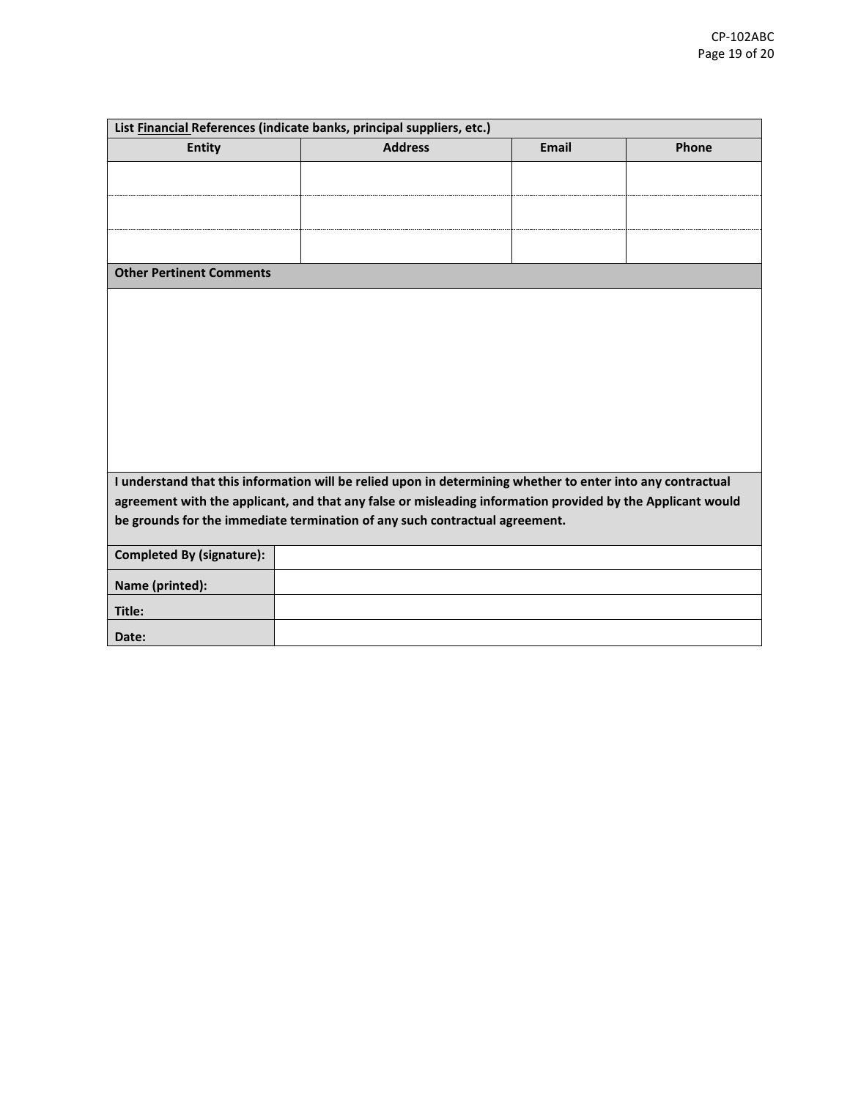| List Financial References (indicate banks, principal suppliers, etc.)                                       |                |              |       |  |
|-------------------------------------------------------------------------------------------------------------|----------------|--------------|-------|--|
| <b>Entity</b>                                                                                               | <b>Address</b> | <b>Email</b> | Phone |  |
|                                                                                                             |                |              |       |  |
|                                                                                                             |                |              |       |  |
|                                                                                                             |                |              |       |  |
|                                                                                                             |                |              |       |  |
| <b>Other Pertinent Comments</b>                                                                             |                |              |       |  |
|                                                                                                             |                |              |       |  |
|                                                                                                             |                |              |       |  |
|                                                                                                             |                |              |       |  |
|                                                                                                             |                |              |       |  |
|                                                                                                             |                |              |       |  |
|                                                                                                             |                |              |       |  |
|                                                                                                             |                |              |       |  |
|                                                                                                             |                |              |       |  |
|                                                                                                             |                |              |       |  |
| I understand that this information will be relied upon in determining whether to enter into any contractual |                |              |       |  |
| agreement with the applicant, and that any false or misleading information provided by the Applicant would  |                |              |       |  |
| be grounds for the immediate termination of any such contractual agreement.                                 |                |              |       |  |
| <b>Completed By (signature):</b>                                                                            |                |              |       |  |
| Name (printed):                                                                                             |                |              |       |  |
| Title:                                                                                                      |                |              |       |  |
| Date:                                                                                                       |                |              |       |  |